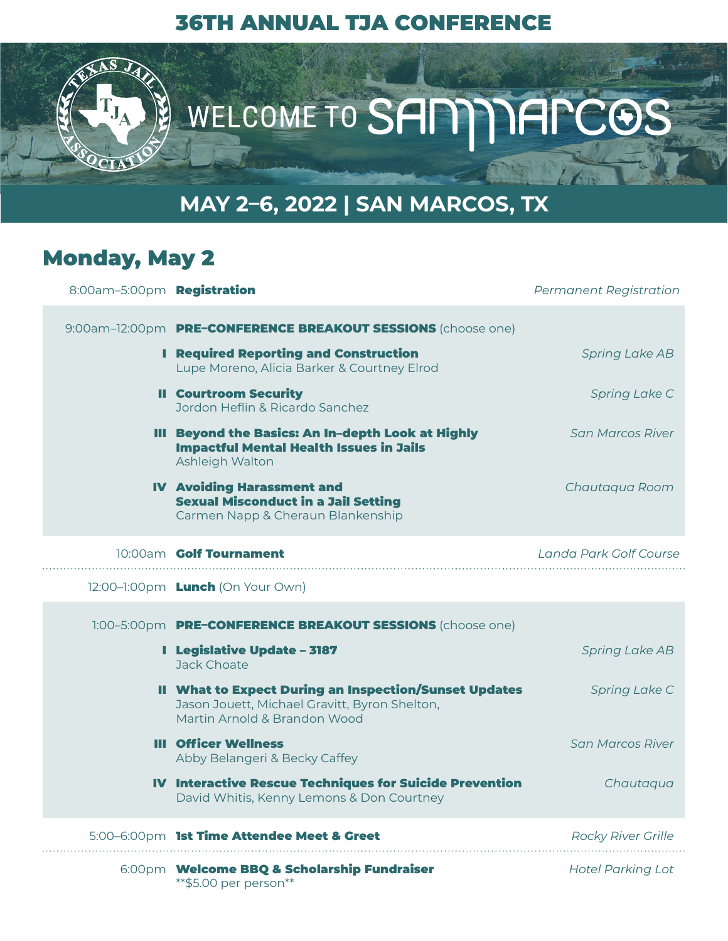#### 36TH ANNUAL TJA CONFERENCE



## **MAY 2–6, 2022 | SAN MARCOS, TX**

#### Monday, May 2

| 8:00am-5:00pm Registration |                                                                                                                                               | <b>Permanent Registration</b> |
|----------------------------|-----------------------------------------------------------------------------------------------------------------------------------------------|-------------------------------|
|                            | 9:00am-12:00pm PRE-CONFERENCE BREAKOUT SESSIONS (choose one)                                                                                  |                               |
|                            | <b>I</b> Required Reporting and Construction<br>Lupe Moreno, Alicia Barker & Courtney Elrod                                                   | <b>Spring Lake AB</b>         |
|                            | <b>II Courtroom Security</b><br>Jordon Heflin & Ricardo Sanchez                                                                               | Spring Lake C                 |
|                            | III Beyond the Basics: An In-depth Look at Highly<br><b>Impactful Mental Health Issues in Jails</b><br>Ashleigh Walton                        | San Marcos River              |
|                            | <b>IV Avoiding Harassment and</b><br><b>Sexual Misconduct in a Jail Setting</b><br>Carmen Napp & Cheraun Blankenship                          | Chautaqua Room                |
|                            | 10:00am Golf Tournament                                                                                                                       | Landa Park Golf Course        |
|                            | 12:00-1:00pm <b>Lunch</b> (On Your Own)                                                                                                       |                               |
|                            | 1:00-5:00pm PRE-CONFERENCE BREAKOUT SESSIONS (choose one)                                                                                     |                               |
|                            | <b>I</b> Legislative Update - 3187<br>Jack Choate                                                                                             | <b>Spring Lake AB</b>         |
|                            | <b>II What to Expect During an Inspection/Sunset Updates</b><br>Jason Jouett, Michael Gravitt, Byron Shelton,<br>Martin Arnold & Brandon Wood | Spring Lake C                 |
|                            | <b>III</b> Officer Wellness<br>Abby Belangeri & Becky Caffey                                                                                  | San Marcos River              |
|                            | <b>IV Interactive Rescue Techniques for Suicide Prevention</b><br>David Whitis, Kenny Lemons & Don Courtney                                   | Chautaqua                     |
|                            | 5:00-6:00pm 1st Time Attendee Meet & Greet                                                                                                    | <b>Rocky River Grille</b>     |
|                            | 6:00pm Welcome BBQ & Scholarship Fundraiser<br>** \$5.00 per person**                                                                         | <b>Hotel Parking Lot</b>      |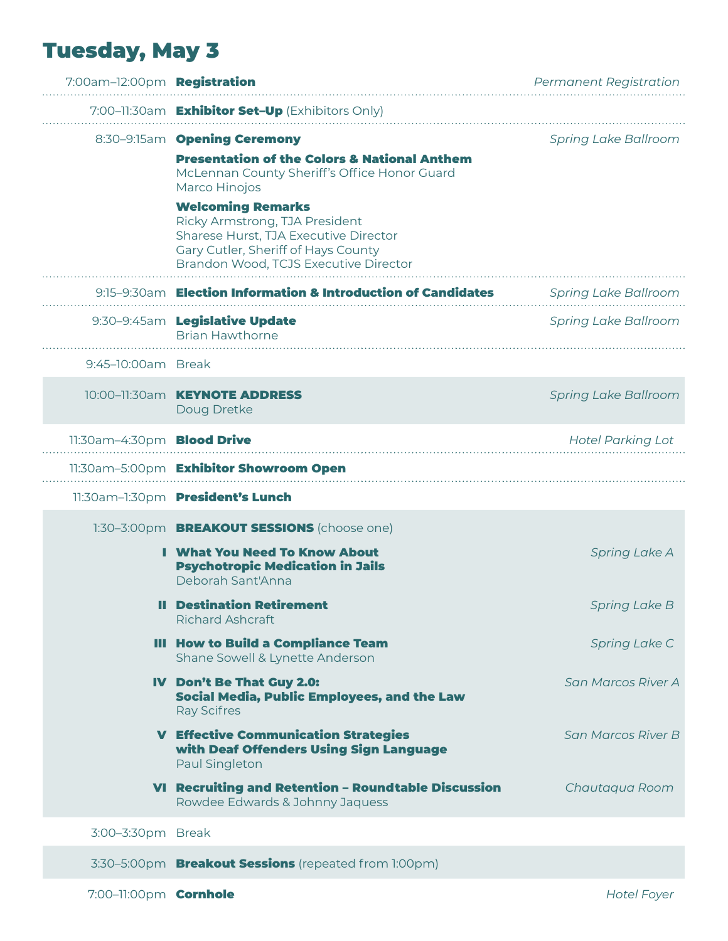# Tuesday, May 3

| 7:00am-12:00pm Registration       |                                                                                                                                                                                     | <b>Permanent Registration</b> |
|-----------------------------------|-------------------------------------------------------------------------------------------------------------------------------------------------------------------------------------|-------------------------------|
|                                   | 7:00-11:30am Exhibitor Set-Up (Exhibitors Only)                                                                                                                                     |                               |
|                                   | 8:30-9:15am Opening Ceremony                                                                                                                                                        | <b>Spring Lake Ballroom</b>   |
|                                   | <b>Presentation of the Colors &amp; National Anthem</b><br>McLennan County Sheriff's Office Honor Guard<br>Marco Hinojos                                                            |                               |
|                                   | <b>Welcoming Remarks</b><br>Ricky Armstrong, TJA President<br>Sharese Hurst, TJA Executive Director<br>Gary Cutler, Sheriff of Hays County<br>Brandon Wood, TCJS Executive Director |                               |
|                                   | 9:15-9:30am Election Information & Introduction of Candidates                                                                                                                       | <b>Spring Lake Ballroom</b>   |
|                                   | 9:30-9:45am Legislative Update<br><b>Brian Hawthorne</b>                                                                                                                            | <b>Spring Lake Ballroom</b>   |
| 9:45-10:00am Break                |                                                                                                                                                                                     |                               |
|                                   | 10:00-11:30am <b>KEYNOTE ADDRESS</b><br>Doug Dretke                                                                                                                                 | <b>Spring Lake Ballroom</b>   |
| 11:30am-4:30pm <b>Blood Drive</b> |                                                                                                                                                                                     | <b>Hotel Parking Lot</b>      |
|                                   | 11:30am-5:00pm Exhibitor Showroom Open                                                                                                                                              |                               |
|                                   | 11:30am-1:30pm President's Lunch                                                                                                                                                    |                               |
|                                   | 1:30-3:00pm <b>BREAKOUT SESSIONS</b> (choose one)                                                                                                                                   |                               |
|                                   | <b>I</b> What You Need To Know About<br><b>Psychotropic Medication in Jails</b><br>Deborah Sant'Anna                                                                                | <b>Spring Lake A</b>          |
|                                   | <b>Il Destination Retirement</b><br><b>Richard Ashcraft</b>                                                                                                                         | <b>Spring Lake B</b>          |
|                                   | <b>III How to Build a Compliance Team</b><br>Shane Sowell & Lynette Anderson                                                                                                        | Spring Lake C                 |
|                                   | IV Don't Be That Guy 2.0:<br>Social Media, Public Employees, and the Law<br><b>Ray Scifres</b>                                                                                      | San Marcos River A            |
|                                   | <b>V Effective Communication Strategies</b><br>with Deaf Offenders Using Sign Language<br>Paul Singleton                                                                            | San Marcos River B            |
|                                   | VI Recruiting and Retention - Roundtable Discussion<br>Rowdee Edwards & Johnny Jaquess                                                                                              | Chautaqua Room                |
| 3:00-3:30pm Break                 |                                                                                                                                                                                     |                               |
|                                   | 3:30-5:00pm Breakout Sessions (repeated from 1:00pm)                                                                                                                                |                               |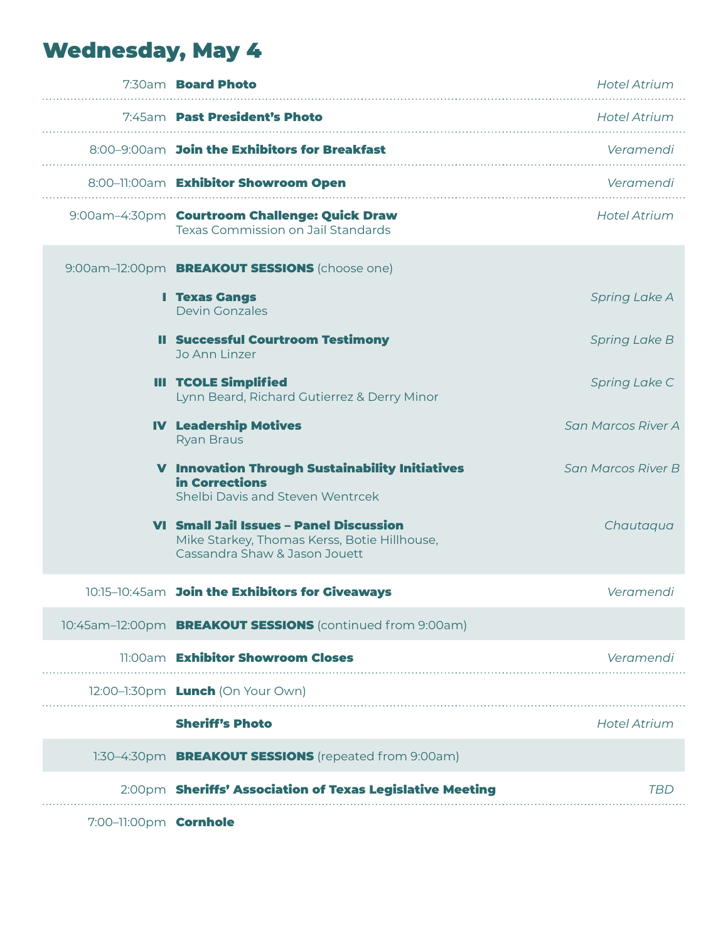## Wednesday, May 4

|  | 7:30am <b>Board Photo</b>                                                                                                       | <b>Hotel Atrium</b>  |
|--|---------------------------------------------------------------------------------------------------------------------------------|----------------------|
|  | 7:45am Past President's Photo                                                                                                   | <b>Hotel Atrium</b>  |
|  | 8:00-9:00am Join the Exhibitors for Breakfast                                                                                   | Veramendi            |
|  | 8:00-11:00am Exhibitor Showroom Open                                                                                            | Veramendi            |
|  | 9:00am-4:30pm Courtroom Challenge: Quick Draw<br>Texas Commission on Jail Standards                                             | <b>Hotel Atrium</b>  |
|  | 9:00am-12:00pm <b>BREAKOUT SESSIONS</b> (choose one)                                                                            |                      |
|  | <b>I</b> Texas Gangs<br><b>Devin Gonzales</b>                                                                                   | <b>Spring Lake A</b> |
|  | <b>Il Successful Courtroom Testimony</b><br>Jo Ann Linzer                                                                       | <b>Spring Lake B</b> |
|  | <b>III TCOLE Simplified</b><br>Lynn Beard, Richard Gutierrez & Derry Minor                                                      | Spring Lake C        |
|  | <b>IV Leadership Motives</b><br><b>Ryan Braus</b>                                                                               | San Marcos River A   |
|  | <b>V</b> Innovation Through Sustainability Initiatives<br>in Corrections<br>Shelbi Davis and Steven Wentrcek                    | San Marcos River B   |
|  | <b>VI Small Jail Issues - Panel Discussion</b><br>Mike Starkey, Thomas Kerss, Botie Hillhouse,<br>Cassandra Shaw & Jason Jouett | Chautaqua            |
|  | 10:15-10:45am Join the Exhibitors for Giveaways                                                                                 | Veramendi            |
|  | 10:45am-12:00pm BREAKOUT SESSIONS (continued from 9:00am)                                                                       |                      |
|  | 11:00am Exhibitor Showroom Closes                                                                                               | Veramendi            |
|  | 12:00-1:30pm <b>Lunch</b> (On Your Own)                                                                                         |                      |
|  | <b>Sheriff's Photo</b>                                                                                                          | <b>Hotel Atrium</b>  |
|  | 1:30-4:30pm <b>BREAKOUT SESSIONS</b> (repeated from 9:00am)                                                                     |                      |
|  | 2:00pm Sheriffs' Association of Texas Legislative Meeting                                                                       | TBD                  |
|  |                                                                                                                                 |                      |

7:00-11:00pm **Cornhole**